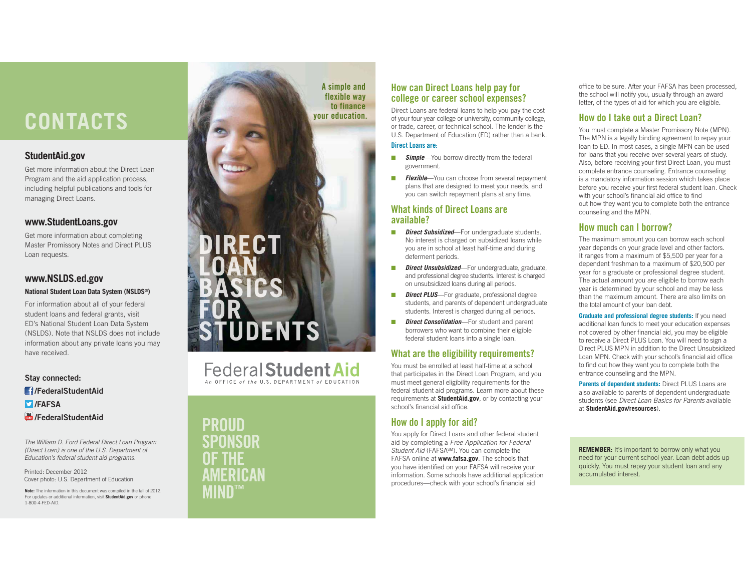# **CONTACTS Exercise the CONTACTS**

## **StudentAid.gov**

Get more information about the Direct Loan Program and the aid application process, including helpful publications and tools for managing Direct Loans.

## **www.StudentLoans.gov**

Get more information about completing Master Promissory Notes and Direct PLUS Loan requests.

## **www.NSLDS.ed.gov**

#### **National Student Loan Data System (NSLDS®)**

For information about all of your federal student loans and federal grants, visit ED's National Student Loan Data System (NSLDS). Note that NSLDS does not include information about any private loans you may have received.

## **Stay connected: /FederalStudentAid/FAFSA***<b>/FederalStudentAid*

The William D. Ford Federal Direct Loan Program (Direct Loan) is one of the U.S. Department of Education's federal student aid programs.

Printed: December 2012Cover photo: U.S. Department of Education

**Note:** The information in this document was compiled in the fall of 2012. For updates or additional information, visit **StudentAid.gov** or phone 1-800-4-FED-AID.

# A simple and flexible way to finance



Federal Student Aid

PROUD SPONSOROF THEAMERICANMIND

# How can Direct Loans help pay for college or career school expenses?

Direct Loans are federal loans to help you pay the cost of your four-year college or university, community college, or trade, career, or technical school. The lender is the U.S. Department of Education (ED) rather than a bank. Direct Loans are:

- ■**Simple**—You borrow directly from the federal
- government. ■ **Flexible**—You can choose from several repayment plans that are designed to meet your needs, and you can switch repayment plans at any time.

#### What kinds of Direct Loans are available?

- ■**Direct Subsidized**—For undergraduate students. No interest is charged on subsidized loans while you are in school at least half-time and during deferment periods.
- ■ *Direct Unsubsidized*—For undergraduate, graduate, and professional degree students. Interest is charged on unsubsidized loans during all periods.
- ■*Direct PLUS*—For graduate, professional degree students, and parents of dependent undergraduate students. Interest is charged during all periods.
- ■ *Direct Consolidation*—For student and parent borrowers who want to combine their eligible federal student loans into a single loan.

# What are the eligibility requirements?

You must be enrolled at least half-time at a school that participates in the Direct Loan Program, and you must meet general eligibility requirements for the federal student aid programs. Learn more about these requirements at **StudentAid.gov**, or by contacting your school's financial aid office.

# How do I apply for aid?

You apply for Direct Loans and other federal student aid by completing a Free Application for Federal Student Aid (FAFSA<sup>SM</sup>). You can complete the FAFSA online at **www.fafsa.gov**. The schools that you have identified on your FAFSA will receive your information. Some schools have additional application procedures—check with your school's financial aid

office to be sure. After your FAFSA has been processed, the school will notify you, usually through an award letter, of the types of aid for which you are eligible.

# How do I take out a Direct Loan?

You must complete a Master Promissory Note (MPN). The MPN is a legally binding agreement to repay your loan to ED. In most cases, a single MPN can be used for loans that you receive over several years of study. Also, before receiving your first Direct Loan, you must complete entrance counseling. Entrance counseling is a mandatory information session which takes place before you receive your first federal student loan. Check with your school's financial aid office to find out how they want you to complete both the entrance counseling and the MPN.

# How much can I borrow?

The maximum amount you can borrow each school year depends on your grade level and other factors. It ranges from a maximum of \$5,500 per year for a dependent freshman to a maximum of \$20,500 per year for a graduate or professional degree student. The actual amount you are eligible to borrow each year is determined by your school and may be less than the maximum amount. There are also limits on the total amount of your loan debt.

**Graduate and professional degree students:** If you need additional loan funds to meet your education expenses not covered by other financial aid, you may be eligible to receive a Direct PLUS Loan. You will need to sign a Direct PLUS MPN in addition to the Direct Unsubsidized Loan MPN. Check with your school's financial aid office to find out how they want you to complete both the entrance counseling and the MPN.

**Parents of dependent students:** Direct PLUS Loans are also available to parents of dependent undergraduate students (see Direct Loan Basics for Parents available at **StudentAid.gov/resources**).

**REMEMBER:** It's important to borrow only what you need for your current school year. Loan debt adds up quickly. You must repay your student loan and any accumulated interest.